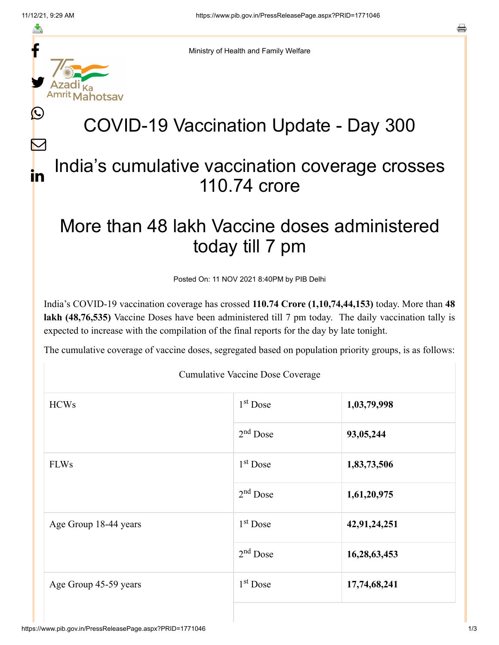≛

Ŀ

 $\bm{\nabla}$ 

in



Ministry of Health and Family Welfare

## COVID-19 Vaccination Update - Day 300

## India's cumulative vaccination coverage crosses 110.74 crore

## More than 48 lakh Vaccine doses administered today till 7 pm

Posted On: 11 NOV 2021 8:40PM by PIB Delhi

India's COVID-19 vaccination coverage has crossed **110.74 Crore (1,10,74,44,153)** today. More than **48 lakh (48,76,535)** Vaccine Doses have been administered till 7 pm today. The daily vaccination tally is expected to increase with the compilation of the final reports for the day by late tonight.

The cumulative coverage of vaccine doses, segregated based on population priority groups, is as follows:

Cumulative Vaccine Dose Coverage

| <b>HCWs</b>           | 1 <sup>st</sup> Dose | 1,03,79,998  |  |
|-----------------------|----------------------|--------------|--|
|                       | $2nd$ Dose           | 93,05,244    |  |
| <b>FLWs</b>           | $1st$ Dose           | 1,83,73,506  |  |
|                       | $2nd$ Dose           | 1,61,20,975  |  |
| Age Group 18-44 years | 1 <sup>st</sup> Dose | 42,91,24,251 |  |
|                       | $2nd$ Dose           | 16,28,63,453 |  |
| Age Group 45-59 years | $1st$ Dose           | 17,74,68,241 |  |
|                       |                      |              |  |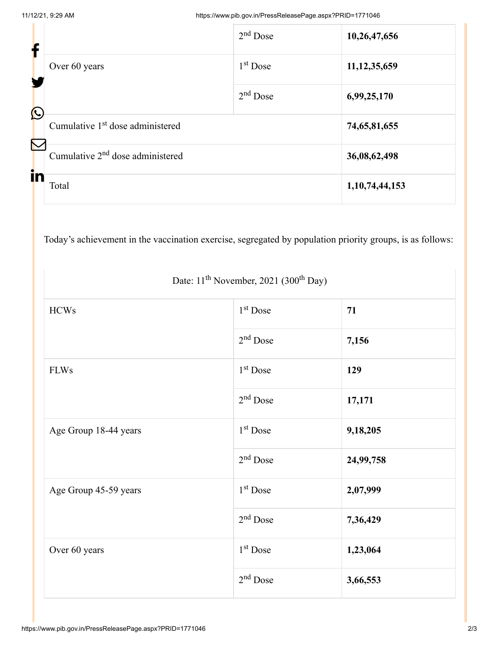| f                     |                                              | $2nd$ Dose | 10,26,47,656       |
|-----------------------|----------------------------------------------|------------|--------------------|
|                       | Over 60 years                                | $1st$ Dose | 11, 12, 35, 659    |
| $\bigcirc$            |                                              | $2nd$ Dose | 6,99,25,170        |
|                       | Cumulative 1 <sup>st</sup> dose administered |            | 74,65,81,655       |
| $\boldsymbol{\nabla}$ | Cumulative 2 <sup>nd</sup> dose administered |            | 36,08,62,498       |
| in                    | Total                                        |            | 1, 10, 74, 44, 153 |

Today's achievement in the vaccination exercise, segregated by population priority groups, is as follows:

| <b>HCWs</b>           | $1st$ Dose           | 71        |
|-----------------------|----------------------|-----------|
|                       | $2nd$ Dose           | 7,156     |
| <b>FLWs</b>           | 1 <sup>st</sup> Dose | 129       |
|                       | $2nd$ Dose           | 17,171    |
| Age Group 18-44 years | $1st$ Dose           | 9,18,205  |
|                       | $2nd$ Dose           | 24,99,758 |
| Age Group 45-59 years | 1 <sup>st</sup> Dose | 2,07,999  |
|                       | $2nd$ Dose           | 7,36,429  |
| Over 60 years         | 1 <sup>st</sup> Dose | 1,23,064  |
|                       | $2nd$ Dose           | 3,66,553  |

Date:  $11<sup>th</sup>$  November, 2021 (300<sup>th</sup> Day)